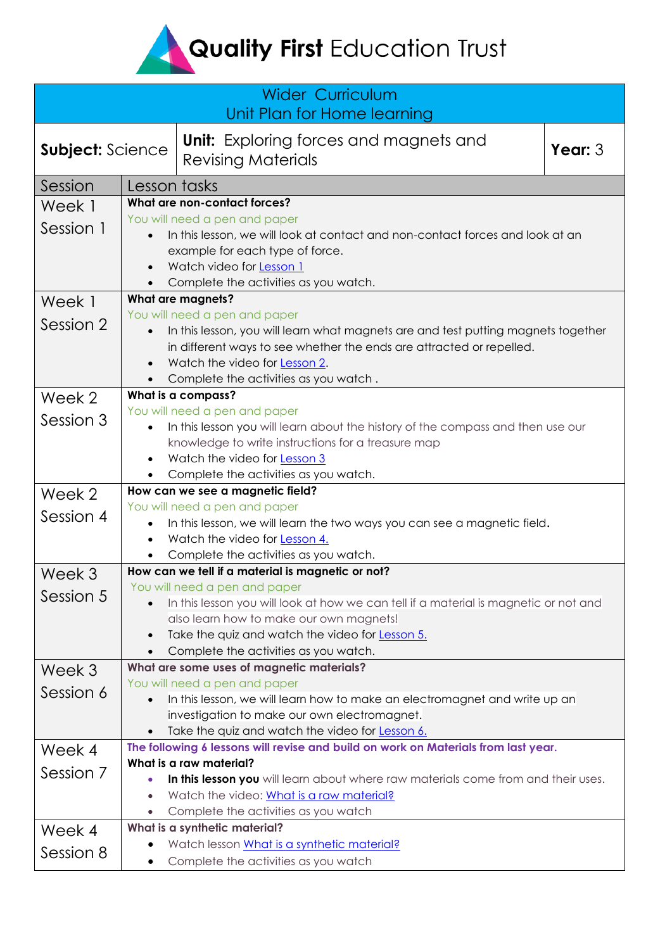## Quality First Education Trust

| <b>Wider Curriculum</b><br>Unit Plan for Home learning |                                                                                                                                                                                                                        |                                                                                                                                                                                                                                                                      |           |  |
|--------------------------------------------------------|------------------------------------------------------------------------------------------------------------------------------------------------------------------------------------------------------------------------|----------------------------------------------------------------------------------------------------------------------------------------------------------------------------------------------------------------------------------------------------------------------|-----------|--|
| Subject: Science                                       |                                                                                                                                                                                                                        | <b>Unit:</b> Exploring forces and magnets and<br><b>Revising Materials</b>                                                                                                                                                                                           | Year: $3$ |  |
| Session                                                | Lesson tasks                                                                                                                                                                                                           |                                                                                                                                                                                                                                                                      |           |  |
| Week 1                                                 | What are non-contact forces?                                                                                                                                                                                           |                                                                                                                                                                                                                                                                      |           |  |
| Session 1                                              | You will need a pen and paper<br>In this lesson, we will look at contact and non-contact forces and look at an<br>example for each type of force.<br>Watch video for Lesson 1<br>Complete the activities as you watch. |                                                                                                                                                                                                                                                                      |           |  |
| Week 1                                                 | <b>What are magnets?</b>                                                                                                                                                                                               |                                                                                                                                                                                                                                                                      |           |  |
| Session 2                                              |                                                                                                                                                                                                                        | You will need a pen and paper<br>In this lesson, you will learn what magnets are and test putting magnets together<br>in different ways to see whether the ends are attracted or repelled.<br>Watch the video for Lesson 2.<br>Complete the activities as you watch. |           |  |
| Week 2                                                 | What is a compass?                                                                                                                                                                                                     |                                                                                                                                                                                                                                                                      |           |  |
| Session 3                                              | $\bullet$                                                                                                                                                                                                              | You will need a pen and paper<br>In this lesson you will learn about the history of the compass and then use our<br>knowledge to write instructions for a treasure map<br>Watch the video for Lesson 3<br>Complete the activities as you watch.                      |           |  |
| Week 2                                                 | How can we see a magnetic field?                                                                                                                                                                                       |                                                                                                                                                                                                                                                                      |           |  |
| Session 4                                              | $\bullet$<br>$\bullet$                                                                                                                                                                                                 | You will need a pen and paper<br>In this lesson, we will learn the two ways you can see a magnetic field.<br>Watch the video for Lesson 4.<br>Complete the activities as you watch.                                                                                  |           |  |
| Week 3                                                 |                                                                                                                                                                                                                        | How can we tell if a material is magnetic or not?                                                                                                                                                                                                                    |           |  |
| Session 5                                              |                                                                                                                                                                                                                        | You will need a pen and paper<br>In this lesson you will look at how we can tell if a material is magnetic or not and<br>also learn how to make our own magnets!<br>Take the quiz and watch the video for Lesson 5.<br>Complete the activities as you watch.         |           |  |
| Week 3                                                 |                                                                                                                                                                                                                        | What are some uses of magnetic materials?                                                                                                                                                                                                                            |           |  |
| Session 6                                              |                                                                                                                                                                                                                        | You will need a pen and paper<br>In this lesson, we will learn how to make an electromagnet and write up an<br>investigation to make our own electromagnet.<br>Take the quiz and watch the video for Lesson 6.                                                       |           |  |
| Week 4                                                 |                                                                                                                                                                                                                        | The following 6 lessons will revise and build on work on Materials from last year.                                                                                                                                                                                   |           |  |
| Session 7                                              |                                                                                                                                                                                                                        | What is a raw material?<br>In this lesson you will learn about where raw materials come from and their uses.<br>Watch the video: What is a raw material?<br>Complete the activities as you watch                                                                     |           |  |
| Week 4                                                 |                                                                                                                                                                                                                        | What is a synthetic material?                                                                                                                                                                                                                                        |           |  |
| Session 8                                              | $\bullet$                                                                                                                                                                                                              | Watch lesson What is a synthetic material?<br>Complete the activities as you watch                                                                                                                                                                                   |           |  |